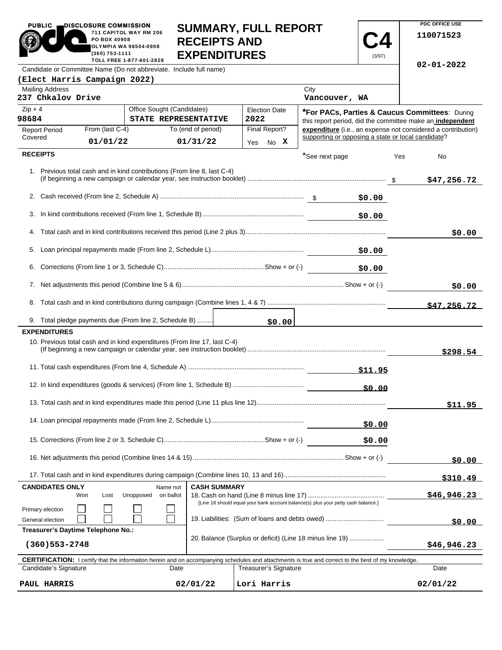| <b>_DISCLOSURE COMMISSION</b><br><b>PUBLIC</b><br>711 CAPITOL WAY RM 206<br>PO BOX 40908<br><b>OLYMPIA WA 98504-0908</b><br>(360) 753-1111<br>TOLL FREE 1 877-601-2828 | <b>SUMMARY, FULL REPORT</b><br><b>RECEIPTS AND</b><br><b>EXPENDITURES</b> |  |  |  |  |
|------------------------------------------------------------------------------------------------------------------------------------------------------------------------|---------------------------------------------------------------------------|--|--|--|--|
| Candidate or Committee Name (Do not abbreviate. Include full name)                                                                                                     |                                                                           |  |  |  |  |
| (Elect Harris Campaign 2022)                                                                                                                                           |                                                                           |  |  |  |  |

**PDC OFFICE USE 110071523**

**02-01-2022**

**C4** (3/97)

|                                                                                                                                                                                                                                  |  | <b>Canadao</b> or Committed Name (Bo not abbiovidio. moldo fun in |  |
|----------------------------------------------------------------------------------------------------------------------------------------------------------------------------------------------------------------------------------|--|-------------------------------------------------------------------|--|
| د د سه د است د است . د است د البراسي به السابق السابق به السابق السابق السابق السابق السابق السابق السابق السا<br>السابق السابق السابق السابق السابق السابق السابق السابق السابق السابق السابق السابق السابق السابق السابق الساب |  |                                                                   |  |

| <b>Mailing Address</b><br>237 Chkalov Drive                                                                                                                |                                    |                                                                           |                     |                              | City<br>Vancouver, WA                                                             |                                                                                                             |
|------------------------------------------------------------------------------------------------------------------------------------------------------------|------------------------------------|---------------------------------------------------------------------------|---------------------|------------------------------|-----------------------------------------------------------------------------------|-------------------------------------------------------------------------------------------------------------|
| $Zip + 4$<br>98684                                                                                                                                         |                                    | Office Sought (Candidates)<br>STATE REPRESENTATIVE                        |                     | <b>Election Date</b><br>2022 |                                                                                   | *For PACs, Parties & Caucus Committees: During<br>this report period, did the committee make an independent |
| <b>Report Period</b><br>Covered                                                                                                                            | From (last C-4)                    |                                                                           | To (end of period)  | Final Report?                | supporting or opposing a state or local candidate?                                | expenditure (i.e., an expense not considered a contribution)                                                |
|                                                                                                                                                            | 01/01/22                           |                                                                           | 01/31/22            | No X<br>Yes                  |                                                                                   |                                                                                                             |
| <b>RECEIPTS</b>                                                                                                                                            |                                    |                                                                           |                     |                              | *See next page                                                                    | Yes<br>No                                                                                                   |
|                                                                                                                                                            |                                    | 1. Previous total cash and in kind contributions (From line 8, last C-4)  |                     |                              |                                                                                   | \$47,256.72                                                                                                 |
|                                                                                                                                                            |                                    |                                                                           |                     |                              | \$0.00                                                                            |                                                                                                             |
| 3.                                                                                                                                                         |                                    |                                                                           |                     |                              | \$0.00                                                                            |                                                                                                             |
|                                                                                                                                                            |                                    |                                                                           |                     |                              |                                                                                   | \$0.00                                                                                                      |
| 5.                                                                                                                                                         |                                    |                                                                           |                     |                              | \$0.00                                                                            |                                                                                                             |
| 6.                                                                                                                                                         |                                    |                                                                           |                     |                              | \$0.00                                                                            |                                                                                                             |
|                                                                                                                                                            |                                    |                                                                           |                     |                              |                                                                                   | \$0.00                                                                                                      |
| 8.                                                                                                                                                         |                                    |                                                                           |                     |                              |                                                                                   | \$47,256.72                                                                                                 |
|                                                                                                                                                            |                                    | 9. Total pledge payments due (From line 2, Schedule B)                    |                     | \$0.00                       |                                                                                   |                                                                                                             |
| <b>EXPENDITURES</b>                                                                                                                                        |                                    |                                                                           |                     |                              |                                                                                   |                                                                                                             |
|                                                                                                                                                            |                                    | 10. Previous total cash and in kind expenditures (From line 17, last C-4) |                     |                              |                                                                                   | \$298.54                                                                                                    |
|                                                                                                                                                            |                                    |                                                                           |                     |                              |                                                                                   |                                                                                                             |
|                                                                                                                                                            |                                    |                                                                           |                     |                              |                                                                                   |                                                                                                             |
|                                                                                                                                                            |                                    |                                                                           |                     |                              |                                                                                   | \$11.95                                                                                                     |
|                                                                                                                                                            |                                    |                                                                           |                     |                              | \$0.00                                                                            |                                                                                                             |
|                                                                                                                                                            |                                    |                                                                           |                     |                              | \$0.00                                                                            |                                                                                                             |
|                                                                                                                                                            |                                    |                                                                           |                     |                              |                                                                                   | \$0.00                                                                                                      |
|                                                                                                                                                            |                                    |                                                                           |                     |                              |                                                                                   | \$310.49                                                                                                    |
| <b>CANDIDATES ONLY</b>                                                                                                                                     |                                    | Name not                                                                  | <b>CASH SUMMARY</b> |                              |                                                                                   |                                                                                                             |
|                                                                                                                                                            | Won<br>Lost                        | Unopposed<br>on ballot                                                    |                     |                              | [Line 18 should equal your bank account balance(s) plus your petty cash balance.] | \$46,946.23                                                                                                 |
| Primary election<br>General election                                                                                                                       |                                    |                                                                           |                     |                              | 19. Liabilities: (Sum of loans and debts owed)                                    |                                                                                                             |
|                                                                                                                                                            | Treasurer's Daytime Telephone No.: |                                                                           |                     |                              |                                                                                   | \$0.00                                                                                                      |
| $(360)$ 553 – 2748                                                                                                                                         |                                    |                                                                           |                     |                              | 20. Balance (Surplus or deficit) (Line 18 minus line 19)                          | \$46,946.23                                                                                                 |
| <b>CERTIFICATION:</b> I certify that the information herein and on accompanying schedules and attachments is true and correct to the best of my knowledge. |                                    |                                                                           |                     |                              |                                                                                   |                                                                                                             |
| Candidate's Signature                                                                                                                                      |                                    | Date                                                                      |                     | Treasurer's Signature        |                                                                                   | Date                                                                                                        |
| PAUL HARRIS                                                                                                                                                |                                    |                                                                           | 02/01/22            | Lori Harris                  |                                                                                   | 02/01/22                                                                                                    |